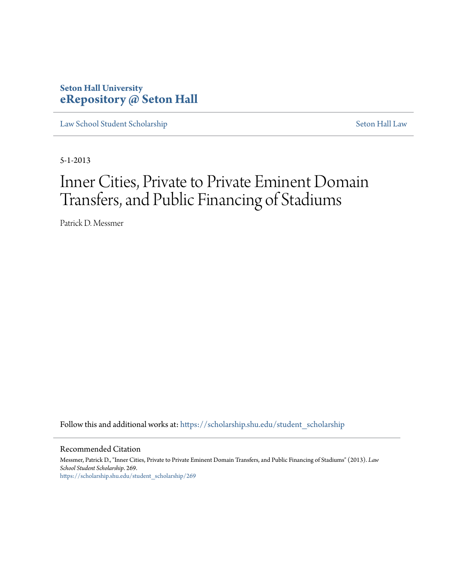# **Seton Hall University [eRepository @ Seton Hall](https://scholarship.shu.edu?utm_source=scholarship.shu.edu%2Fstudent_scholarship%2F269&utm_medium=PDF&utm_campaign=PDFCoverPages)**

[Law School Student Scholarship](https://scholarship.shu.edu/student_scholarship?utm_source=scholarship.shu.edu%2Fstudent_scholarship%2F269&utm_medium=PDF&utm_campaign=PDFCoverPages) [Seton Hall Law](https://scholarship.shu.edu/law?utm_source=scholarship.shu.edu%2Fstudent_scholarship%2F269&utm_medium=PDF&utm_campaign=PDFCoverPages)

5-1-2013

# Inner Cities, Private to Private Eminent Domain Transfers, and Public Financing of Stadiums

Patrick D. Messmer

Follow this and additional works at: [https://scholarship.shu.edu/student\\_scholarship](https://scholarship.shu.edu/student_scholarship?utm_source=scholarship.shu.edu%2Fstudent_scholarship%2F269&utm_medium=PDF&utm_campaign=PDFCoverPages)

#### Recommended Citation

Messmer, Patrick D., "Inner Cities, Private to Private Eminent Domain Transfers, and Public Financing of Stadiums" (2013). *Law School Student Scholarship*. 269. [https://scholarship.shu.edu/student\\_scholarship/269](https://scholarship.shu.edu/student_scholarship/269?utm_source=scholarship.shu.edu%2Fstudent_scholarship%2F269&utm_medium=PDF&utm_campaign=PDFCoverPages)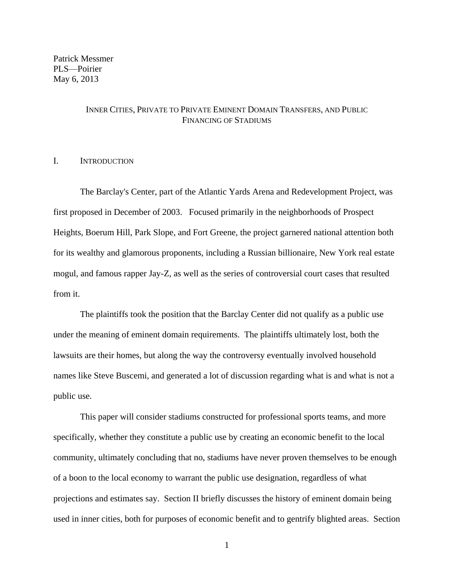Patrick Messmer PLS—Poirier May 6, 2013

#### INNER CITIES, PRIVATE TO PRIVATE EMINENT DOMAIN TRANSFERS, AND PUBLIC FINANCING OF STADIUMS

# I. INTRODUCTION

The Barclay's Center, part of the Atlantic Yards Arena and Redevelopment Project, was first proposed in December of 2003. Focused primarily in the neighborhoods of Prospect Heights, Boerum Hill, Park Slope, and Fort Greene, the project garnered national attention both for its wealthy and glamorous proponents, including a Russian billionaire, New York real estate mogul, and famous rapper Jay-Z, as well as the series of controversial court cases that resulted from it.

The plaintiffs took the position that the Barclay Center did not qualify as a public use under the meaning of eminent domain requirements. The plaintiffs ultimately lost, both the lawsuits are their homes, but along the way the controversy eventually involved household names like Steve Buscemi, and generated a lot of discussion regarding what is and what is not a public use.

This paper will consider stadiums constructed for professional sports teams, and more specifically, whether they constitute a public use by creating an economic benefit to the local community, ultimately concluding that no, stadiums have never proven themselves to be enough of a boon to the local economy to warrant the public use designation, regardless of what projections and estimates say. Section II briefly discusses the history of eminent domain being used in inner cities, both for purposes of economic benefit and to gentrify blighted areas. Section

1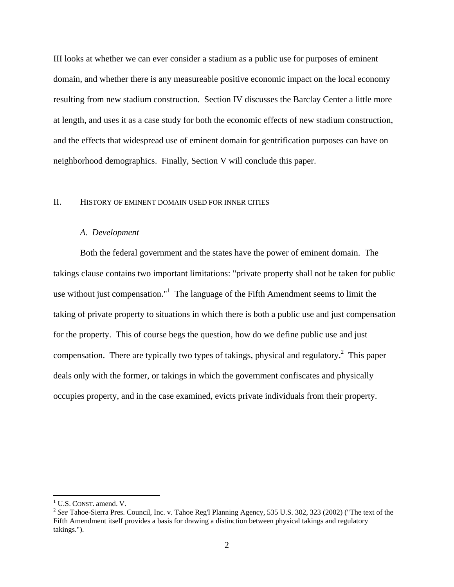III looks at whether we can ever consider a stadium as a public use for purposes of eminent domain, and whether there is any measureable positive economic impact on the local economy resulting from new stadium construction. Section IV discusses the Barclay Center a little more at length, and uses it as a case study for both the economic effects of new stadium construction, and the effects that widespread use of eminent domain for gentrification purposes can have on neighborhood demographics. Finally, Section V will conclude this paper.

#### II. HISTORY OF EMINENT DOMAIN USED FOR INNER CITIES

#### *A. Development*

Both the federal government and the states have the power of eminent domain. The takings clause contains two important limitations: "private property shall not be taken for public use without just compensation." $1$  The language of the Fifth Amendment seems to limit the taking of private property to situations in which there is both a public use and just compensation for the property. This of course begs the question, how do we define public use and just compensation. There are typically two types of takings, physical and regulatory.<sup>2</sup> This paper deals only with the former, or takings in which the government confiscates and physically occupies property, and in the case examined, evicts private individuals from their property.

<sup>&</sup>lt;sup>1</sup> U.S. CONST. amend. V.

<sup>2</sup> *See* Tahoe-Sierra Pres. Council, Inc. v. Tahoe Reg'l Planning Agency, 535 U.S. 302, 323 (2002) ("The text of the Fifth Amendment itself provides a basis for drawing a distinction between physical takings and regulatory takings.").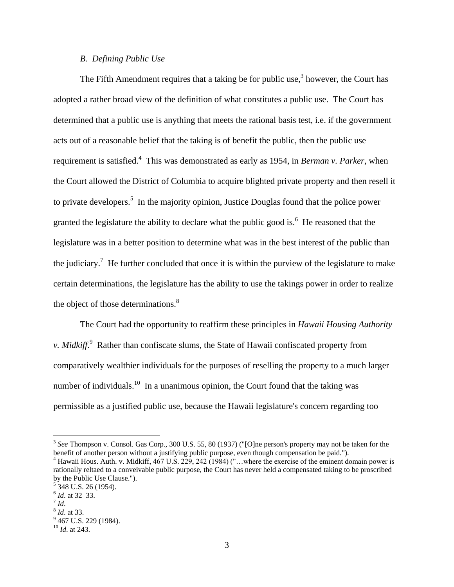#### *B. Defining Public Use*

The Fifth Amendment requires that a taking be for public use,<sup>3</sup> however, the Court has adopted a rather broad view of the definition of what constitutes a public use. The Court has determined that a public use is anything that meets the rational basis test, i.e. if the government acts out of a reasonable belief that the taking is of benefit the public, then the public use requirement is satisfied.<sup>4</sup> This was demonstrated as early as 1954, in *Berman v. Parker*, when the Court allowed the District of Columbia to acquire blighted private property and then resell it to private developers.<sup>5</sup> In the majority opinion, Justice Douglas found that the police power granted the legislature the ability to declare what the public good is.<sup>6</sup> He reasoned that the legislature was in a better position to determine what was in the best interest of the public than the judiciary.<sup>7</sup> He further concluded that once it is within the purview of the legislature to make certain determinations, the legislature has the ability to use the takings power in order to realize the object of those determinations. $8$ 

The Court had the opportunity to reaffirm these principles in *Hawaii Housing Authority v. Midkiff*. 9 Rather than confiscate slums, the State of Hawaii confiscated property from comparatively wealthier individuals for the purposes of reselling the property to a much larger number of individuals.<sup>10</sup> In a unanimous opinion, the Court found that the taking was permissible as a justified public use, because the Hawaii legislature's concern regarding too

<sup>3</sup> *See* Thompson v. Consol. Gas Corp., 300 U.S. 55, 80 (1937) ("[O]ne person's property may not be taken for the benefit of another person without a justifying public purpose, even though compensation be paid.").

<sup>&</sup>lt;sup>4</sup> Hawaii Hous. Auth. v. Midkiff, 467 U.S. 229, 242 (1984) ("...where the exercise of the eminent domain power is rationally reltaed to a conveivable public purpose, the Court has never held a compensated taking to be proscribed by the Public Use Clause.").

<sup>&</sup>lt;sup>5</sup> 348 U.S. 26 (1954).

<sup>6</sup> *Id*. at 32–33.

<sup>7</sup> *Id*.

<sup>8</sup> *Id*. at 33.

<sup>&</sup>lt;sup>9</sup> 467 U.S. 229 (1984).

<sup>10</sup> *Id*. at 243.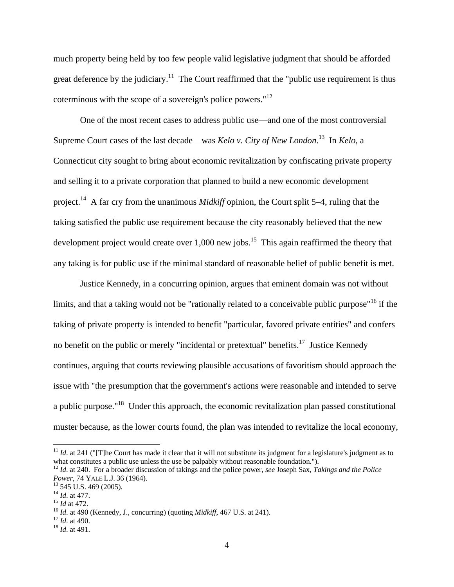much property being held by too few people valid legislative judgment that should be afforded great deference by the judiciary.<sup>11</sup> The Court reaffirmed that the "public use requirement is thus coterminous with the scope of a sovereign's police powers."<sup>12</sup>

One of the most recent cases to address public use—and one of the most controversial Supreme Court cases of the last decade—was *Kelo v. City of New London*. 13 In *Kelo*, a Connecticut city sought to bring about economic revitalization by confiscating private property and selling it to a private corporation that planned to build a new economic development project.<sup>14</sup> A far cry from the unanimous *Midkiff* opinion, the Court split 5–4, ruling that the taking satisfied the public use requirement because the city reasonably believed that the new development project would create over  $1,000$  new jobs.<sup>15</sup> This again reaffirmed the theory that any taking is for public use if the minimal standard of reasonable belief of public benefit is met.

Justice Kennedy, in a concurring opinion, argues that eminent domain was not without limits, and that a taking would not be "rationally related to a conceivable public purpose"<sup>16</sup> if the taking of private property is intended to benefit "particular, favored private entities" and confers no benefit on the public or merely "incidental or pretextual" benefits.<sup>17</sup> Justice Kennedy continues, arguing that courts reviewing plausible accusations of favoritism should approach the issue with "the presumption that the government's actions were reasonable and intended to serve a public purpose."<sup>18</sup> Under this approach, the economic revitalization plan passed constitutional muster because, as the lower courts found, the plan was intended to revitalize the local economy,

 $11$  *Id.* at 241 ("[T]he Court has made it clear that it will not substitute its judgment for a legislature's judgment as to what constitutes a public use unless the use be palpably without reasonable foundation.").

<sup>12</sup> *Id*. at 240. For a broader discussion of takings and the police power, *see* Joseph Sax, *Takings and the Police Power*, 74 YALE L.J. 36 (1964).

 $13$  545 U.S. 469 (2005).

<sup>14</sup> *Id*. at 477.

<sup>15</sup> *Id* at 472.

<sup>16</sup> *Id*. at 490 (Kennedy, J., concurring) (quoting *Midkiff*, 467 U.S. at 241).

<sup>17</sup> *Id*. at 490.

<sup>18</sup> *Id*. at 491.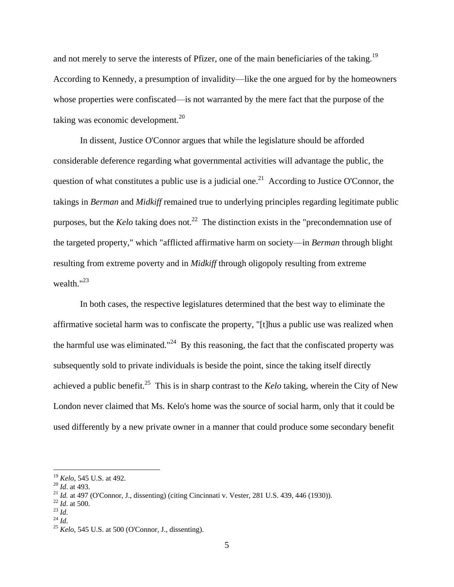and not merely to serve the interests of Pfizer, one of the main beneficiaries of the taking.<sup>19</sup> According to Kennedy, a presumption of invalidity—like the one argued for by the homeowners whose properties were confiscated—is not warranted by the mere fact that the purpose of the taking was economic development.<sup>20</sup>

In dissent, Justice O'Connor argues that while the legislature should be afforded considerable deference regarding what governmental activities will advantage the public, the question of what constitutes a public use is a judicial one.<sup>21</sup> According to Justice O'Connor, the takings in *Berman* and *Midkiff* remained true to underlying principles regarding legitimate public purposes, but the *Kelo* taking does not.<sup>22</sup> The distinction exists in the "precondemnation use of the targeted property," which "afflicted affirmative harm on society—in *Berman* through blight resulting from extreme poverty and in *Midkiff* through oligopoly resulting from extreme wealth."<sup>23</sup>

In both cases, the respective legislatures determined that the best way to eliminate the affirmative societal harm was to confiscate the property, "[t]hus a public use was realized when the harmful use was eliminated."<sup>24</sup> By this reasoning, the fact that the confiscated property was subsequently sold to private individuals is beside the point, since the taking itself directly achieved a public benefit.<sup>25</sup> This is in sharp contrast to the *Kelo* taking, wherein the City of New London never claimed that Ms. Kelo's home was the source of social harm, only that it could be used differently by a new private owner in a manner that could produce some secondary benefit

<sup>19</sup> *Kelo*, 545 U.S. at 492.

<sup>20</sup> *Id*. at 493.

<sup>&</sup>lt;sup>21</sup> *Id.* at 497 (O'Connor, J., dissenting) (citing Cincinnati v. Vester, 281 U.S. 439, 446 (1930)).

<sup>22</sup> *Id*. at 500.

<sup>23</sup> *Id*.

<sup>24</sup> *Id*.

<sup>25</sup> *Kelo*, 545 U.S. at 500 (O'Connor, J., dissenting).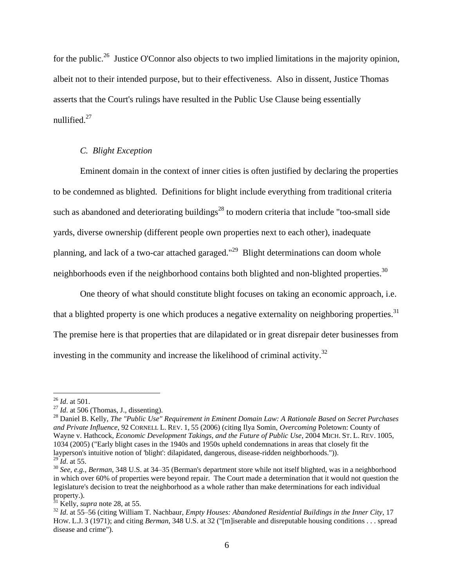for the public.<sup>26</sup> Justice O'Connor also objects to two implied limitations in the majority opinion, albeit not to their intended purpose, but to their effectiveness. Also in dissent, Justice Thomas asserts that the Court's rulings have resulted in the Public Use Clause being essentially nullified.<sup>27</sup>

# *C. Blight Exception*

Eminent domain in the context of inner cities is often justified by declaring the properties to be condemned as blighted. Definitions for blight include everything from traditional criteria such as abandoned and deteriorating buildings<sup>28</sup> to modern criteria that include "too-small side yards, diverse ownership (different people own properties next to each other), inadequate planning, and lack of a two-car attached garaged."<sup>29</sup> Blight determinations can doom whole neighborhoods even if the neighborhood contains both blighted and non-blighted properties.<sup>30</sup>

One theory of what should constitute blight focuses on taking an economic approach, i.e. that a blighted property is one which produces a negative externality on neighboring properties.<sup>31</sup> The premise here is that properties that are dilapidated or in great disrepair deter businesses from investing in the community and increase the likelihood of criminal activity.<sup>32</sup>

 $\overline{a}$ <sup>26</sup> *Id*. at 501.

<sup>&</sup>lt;sup>27</sup> *Id.* at 506 (Thomas, J., dissenting).

<sup>28</sup> Daniel B. Kelly, *The "Public Use" Requirement in Eminent Domain Law: A Rationale Based on Secret Purchases and Private Influence*, 92 CORNELL L. REV. 1, 55 (2006) (citing Ilya Somin, *Overcoming* Poletown: County of Wayne v. Hathcock, *Economic Development Takings, and the Future of Public Use*, 2004 MICH. ST. L. REV. 1005, 1034 (2005) ("Early blight cases in the 1940s and 1950s upheld condemnations in areas that closely fit the layperson's intuitive notion of 'blight': dilapidated, dangerous, disease-ridden neighborhoods.")). <sup>29</sup> *Id*. at 55.

<sup>30</sup> *See, e.g.*, *Berman*, 348 U.S. at 34–35 (Berman's department store while not itself blighted, was in a neighborhood in which over 60% of properties were beyond repair. The Court made a determination that it would not question the legislature's decision to treat the neighborhood as a whole rather than make determinations for each individual property.).

 $31$  Kelly, *supra* note 28, at 55.

<sup>32</sup> *Id*. at 55–56 (citing William T. Nachbaur, *Empty Houses: Abandoned Residential Buildings in the Inner City*, 17 HOW. L.J. 3 (1971); and citing *Berman*, 348 U.S. at 32 ("[m]iserable and disreputable housing conditions . . . spread disease and crime").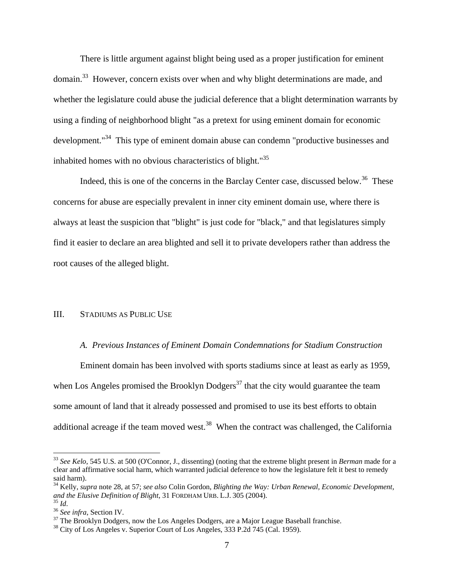There is little argument against blight being used as a proper justification for eminent domain.<sup>33</sup> However, concern exists over when and why blight determinations are made, and whether the legislature could abuse the judicial deference that a blight determination warrants by using a finding of neighborhood blight "as a pretext for using eminent domain for economic development."<sup>34</sup> This type of eminent domain abuse can condemn "productive businesses and inhabited homes with no obvious characteristics of blight."<sup>35</sup>

Indeed, this is one of the concerns in the Barclay Center case, discussed below.<sup>36</sup> These concerns for abuse are especially prevalent in inner city eminent domain use, where there is always at least the suspicion that "blight" is just code for "black," and that legislatures simply find it easier to declare an area blighted and sell it to private developers rather than address the root causes of the alleged blight.

# III. STADIUMS AS PUBLIC USE

#### *A. Previous Instances of Eminent Domain Condemnations for Stadium Construction*

Eminent domain has been involved with sports stadiums since at least as early as 1959, when Los Angeles promised the Brooklyn Dodgers<sup>37</sup> that the city would guarantee the team some amount of land that it already possessed and promised to use its best efforts to obtain additional acreage if the team moved west.<sup>38</sup> When the contract was challenged, the California

<sup>33</sup> *See Kelo*, 545 U.S. at 500 (O'Connor, J., dissenting) (noting that the extreme blight present in *Berman* made for a clear and affirmative social harm, which warranted judicial deference to how the legislature felt it best to remedy said harm).

<sup>34</sup> Kelly, *supra* note 28, at 57; *see also* Colin Gordon, *Blighting the Way: Urban Renewal, Economic Development, and the Elusive Definition of Blight*, 31 FORDHAM URB. L.J. 305 (2004). <sup>35</sup> *Id*.

<sup>36</sup> *See infra*, Section IV.

 $37$  The Brooklyn Dodgers, now the Los Angeles Dodgers, are a Major League Baseball franchise.

<sup>&</sup>lt;sup>38</sup> City of Los Angeles v. Superior Court of Los Angeles, 333 P.2d 745 (Cal. 1959).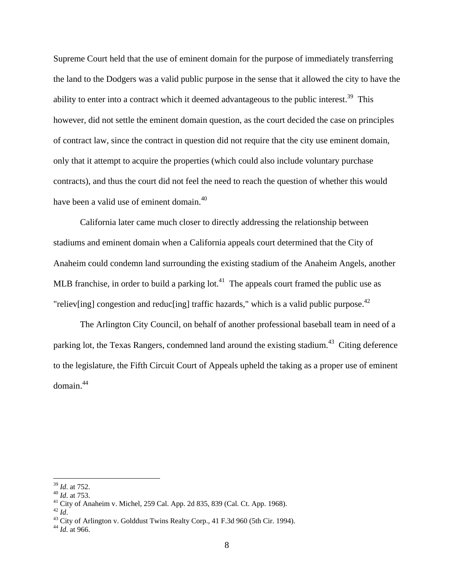Supreme Court held that the use of eminent domain for the purpose of immediately transferring the land to the Dodgers was a valid public purpose in the sense that it allowed the city to have the ability to enter into a contract which it deemed advantageous to the public interest.<sup>39</sup> This however, did not settle the eminent domain question, as the court decided the case on principles of contract law, since the contract in question did not require that the city use eminent domain, only that it attempt to acquire the properties (which could also include voluntary purchase contracts), and thus the court did not feel the need to reach the question of whether this would have been a valid use of eminent domain.<sup>40</sup>

California later came much closer to directly addressing the relationship between stadiums and eminent domain when a California appeals court determined that the City of Anaheim could condemn land surrounding the existing stadium of the Anaheim Angels, another MLB franchise, in order to build a parking lot.<sup>41</sup> The appeals court framed the public use as "reliev[ing] congestion and reduc[ing] traffic hazards," which is a valid public purpose.<sup>42</sup>

The Arlington City Council, on behalf of another professional baseball team in need of a parking lot, the Texas Rangers, condemned land around the existing stadium.<sup>43</sup> Citing deference to the legislature, the Fifth Circuit Court of Appeals upheld the taking as a proper use of eminent domain.<sup>44</sup>

<sup>39</sup> *Id*. at 752.

<sup>40</sup> *Id*. at 753.

 $41$  City of Anaheim v. Michel, 259 Cal. App. 2d 835, 839 (Cal. Ct. App. 1968).

<sup>42</sup> *Id*.

<sup>&</sup>lt;sup>43</sup> City of Arlington v. Golddust Twins Realty Corp., 41 F.3d 960 (5th Cir. 1994).

<sup>44</sup> *Id*. at 966.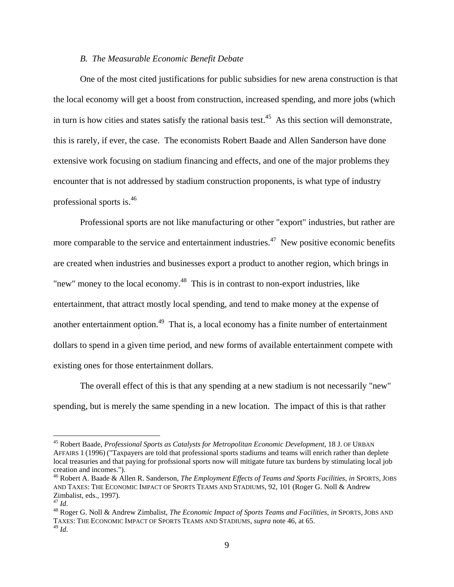#### *B. The Measurable Economic Benefit Debate*

One of the most cited justifications for public subsidies for new arena construction is that the local economy will get a boost from construction, increased spending, and more jobs (which in turn is how cities and states satisfy the rational basis test. 45 As this section will demonstrate, this is rarely, if ever, the case. The economists Robert Baade and Allen Sanderson have done extensive work focusing on stadium financing and effects, and one of the major problems they encounter that is not addressed by stadium construction proponents, is what type of industry professional sports is.<sup>46</sup>

<span id="page-9-1"></span><span id="page-9-0"></span>Professional sports are not like manufacturing or other "export" industries, but rather are more comparable to the service and entertainment industries.<sup>47</sup> New positive economic benefits are created when industries and businesses export a product to another region, which brings in "new" money to the local economy. $48$  This is in contrast to non-export industries, like entertainment, that attract mostly local spending, and tend to make money at the expense of another entertainment option.<sup>49</sup> That is, a local economy has a finite number of entertainment dollars to spend in a given time period, and new forms of available entertainment compete with existing ones for those entertainment dollars.

The overall effect of this is that any spending at a new stadium is not necessarily "new" spending, but is merely the same spending in a new location. The impact of this is that rather

<sup>45</sup> Robert Baade, *Professional Sports as Catalysts for Metropolitan Economic Development*, 18 J. OF URBAN AFFAIRS 1 (1996) ("Taxpayers are told that professional sports stadiums and teams will enrich rather than deplete local treasuries and that paying for profssional sports now will mitigate future tax burdens by stimulating local job creation and incomes.").

<sup>46</sup> Robert A. Baade & Allen R. Sanderson, *The Employment Effects of Teams and Sports Facilities*, *in* SPORTS, JOBS AND TAXES: THE ECONOMIC IMPACT OF SPORTS TEAMS AND STADIUMS, 92, 101 (Roger G. Noll & Andrew Zimbalist, eds., 1997).

<sup>47</sup> *Id*.

<sup>48</sup> Roger G. Noll & Andrew Zimbalist, *The Economic Impact of Sports Teams and Facilities*, *in* SPORTS, JOBS AND TAXES: THE ECONOMIC IMPACT OF SPORTS TEAMS AND STADIUMS, *supra* note 46, at 65. <sup>49</sup> *Id*.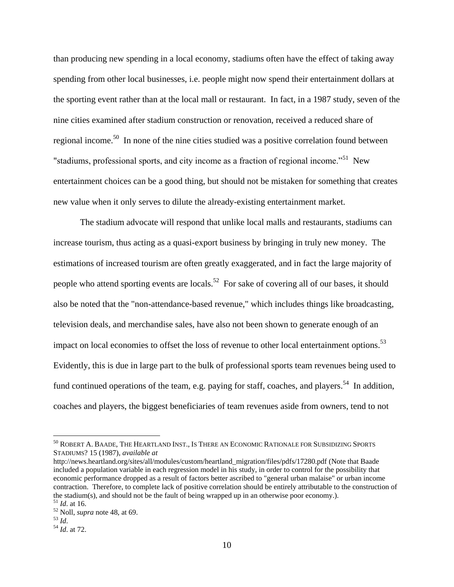than producing new spending in a local economy, stadiums often have the effect of taking away spending from other local businesses, i.e. people might now spend their entertainment dollars at the sporting event rather than at the local mall or restaurant. In fact, in a 1987 study, seven of the nine cities examined after stadium construction or renovation, received a reduced share of regional income.<sup>50</sup> In none of the nine cities studied was a positive correlation found between "stadiums, professional sports, and city income as a fraction of regional income."<sup>51</sup> New entertainment choices can be a good thing, but should not be mistaken for something that creates new value when it only serves to dilute the already-existing entertainment market.

The stadium advocate will respond that unlike local malls and restaurants, stadiums can increase tourism, thus acting as a quasi-export business by bringing in truly new money. The estimations of increased tourism are often greatly exaggerated, and in fact the large majority of people who attend sporting events are locals.<sup>52</sup> For sake of covering all of our bases, it should also be noted that the "non-attendance-based revenue," which includes things like broadcasting, television deals, and merchandise sales, have also not been shown to generate enough of an impact on local economies to offset the loss of revenue to other local entertainment options.<sup>53</sup> Evidently, this is due in large part to the bulk of professional sports team revenues being used to fund continued operations of the team, e.g. paying for staff, coaches, and players.<sup>54</sup> In addition, coaches and players, the biggest beneficiaries of team revenues aside from owners, tend to not

<sup>50</sup> ROBERT A. BAADE, THE HEARTLAND INST., IS THERE AN ECONOMIC RATIONALE FOR SUBSIDIZING SPORTS STADIUMS? 15 (1987), *available at*

http://news.heartland.org/sites/all/modules/custom/heartland\_migration/files/pdfs/17280.pdf (Note that Baade included a population variable in each regression model in his study, in order to control for the possibility that economic performance dropped as a result of factors better ascribed to "general urban malaise" or urban income contraction. Therefore, to complete lack of positive correlation should be entirely attributable to the construction of the stadium(s), and should not be the fault of being wrapped up in an otherwise poor economy.). <sup>51</sup> *Id*. at 16.

<sup>52</sup> Noll, *supra* note [48,](#page-9-0) at 69.

<sup>53</sup> *Id*.

<sup>54</sup> *Id*. at 72.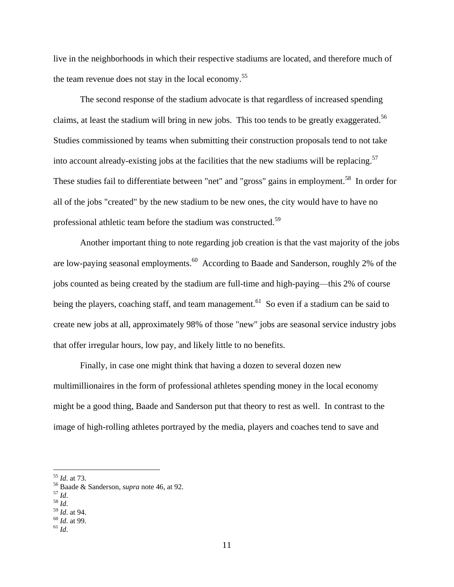live in the neighborhoods in which their respective stadiums are located, and therefore much of the team revenue does not stay in the local economy.<sup>55</sup>

The second response of the stadium advocate is that regardless of increased spending claims, at least the stadium will bring in new jobs. This too tends to be greatly exaggerated.<sup>56</sup> Studies commissioned by teams when submitting their construction proposals tend to not take into account already-existing jobs at the facilities that the new stadiums will be replacing.<sup>57</sup> These studies fail to differentiate between "net" and "gross" gains in employment.<sup>58</sup> In order for all of the jobs "created" by the new stadium to be new ones, the city would have to have no professional athletic team before the stadium was constructed.<sup>59</sup>

Another important thing to note regarding job creation is that the vast majority of the jobs are low-paying seasonal employments.<sup>60</sup> According to Baade and Sanderson, roughly 2% of the jobs counted as being created by the stadium are full-time and high-paying—this 2% of course being the players, coaching staff, and team management.<sup>61</sup> So even if a stadium can be said to create new jobs at all, approximately 98% of those "new" jobs are seasonal service industry jobs that offer irregular hours, low pay, and likely little to no benefits.

Finally, in case one might think that having a dozen to several dozen new multimillionaires in the form of professional athletes spending money in the local economy might be a good thing, Baade and Sanderson put that theory to rest as well. In contrast to the image of high-rolling athletes portrayed by the media, players and coaches tend to save and

<sup>55</sup> *Id*. at 73.

<sup>56</sup> Baade & Sanderson, *supra* note [46,](#page-9-1) at 92.

<sup>57</sup> *Id*.

<sup>58</sup> *Id*.

<sup>59</sup> *Id*. at 94.

<sup>60</sup> *Id*. at 99.

<sup>61</sup> *Id*.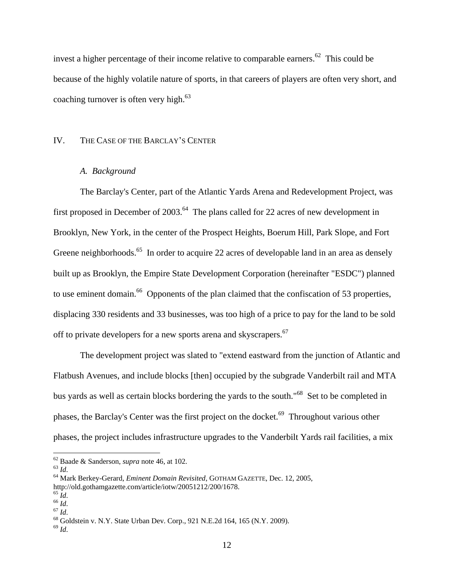invest a higher percentage of their income relative to comparable earners.<sup>62</sup> This could be because of the highly volatile nature of sports, in that careers of players are often very short, and coaching turnover is often very high. $63$ 

### IV. THE CASE OF THE BARCLAY'S CENTER

# *A. Background*

The Barclay's Center, part of the Atlantic Yards Arena and Redevelopment Project, was first proposed in December of  $2003$ .<sup>64</sup> The plans called for 22 acres of new development in Brooklyn, New York, in the center of the Prospect Heights, Boerum Hill, Park Slope, and Fort Greene neighborhoods.<sup>65</sup> In order to acquire 22 acres of developable land in an area as densely built up as Brooklyn, the Empire State Development Corporation (hereinafter "ESDC") planned to use eminent domain.<sup>66</sup> Opponents of the plan claimed that the confiscation of 53 properties, displacing 330 residents and 33 businesses, was too high of a price to pay for the land to be sold off to private developers for a new sports arena and skyscrapers.<sup>67</sup>

The development project was slated to "extend eastward from the junction of Atlantic and Flatbush Avenues, and include blocks [then] occupied by the subgrade Vanderbilt rail and MTA bus yards as well as certain blocks bordering the yards to the south."<sup>68</sup> Set to be completed in phases, the Barclay's Center was the first project on the docket.<sup>69</sup> Throughout various other phases, the project includes infrastructure upgrades to the Vanderbilt Yards rail facilities, a mix

<sup>62</sup> Baade & Sanderson, *supra* note [46,](#page-9-1) at 102.

<sup>63</sup> *Id*.

<sup>64</sup> Mark Berkey-Gerard, *Eminent Domain Revisited*, GOTHAM GAZETTE, Dec. 12, 2005,

http://old.gothamgazette.com/article/iotw/20051212/200/1678.

<sup>65</sup> *Id*.

 $66$   $\overline{1}d$ .  $\frac{1}{67}$  *Id.* 

<sup>68</sup> Goldstein v. N.Y. State Urban Dev. Corp., 921 N.E.2d 164, 165 (N.Y. 2009).

<sup>69</sup> *Id*.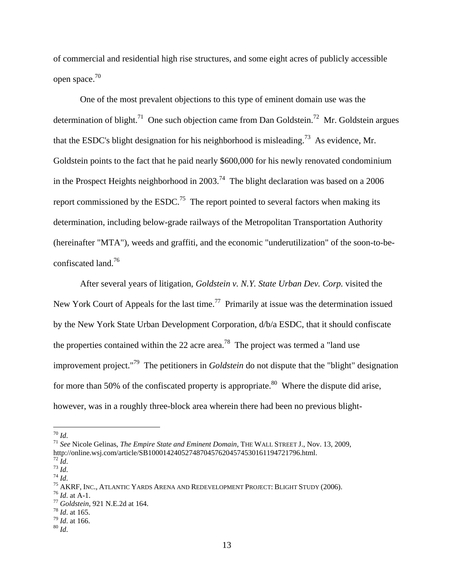of commercial and residential high rise structures, and some eight acres of publicly accessible open space.<sup>70</sup>

One of the most prevalent objections to this type of eminent domain use was the determination of blight.<sup>71</sup> One such objection came from Dan Goldstein.<sup>72</sup> Mr. Goldstein argues that the ESDC's blight designation for his neighborhood is misleading.<sup>73</sup> As evidence, Mr. Goldstein points to the fact that he paid nearly \$600,000 for his newly renovated condominium in the Prospect Heights neighborhood in 2003.<sup>74</sup> The blight declaration was based on a 2006 report commissioned by the  $ESDC<sup>75</sup>$  The report pointed to several factors when making its determination, including below-grade railways of the Metropolitan Transportation Authority (hereinafter "MTA"), weeds and graffiti, and the economic "underutilization" of the soon-to-beconfiscated land.<sup>76</sup>

After several years of litigation, *Goldstein v. N.Y. State Urban Dev. Corp.* visited the New York Court of Appeals for the last time.<sup>77</sup> Primarily at issue was the determination issued by the New York State Urban Development Corporation, d/b/a ESDC, that it should confiscate the properties contained within the 22 acre area.<sup>78</sup> The project was termed a "land use improvement project."<sup>79</sup> The petitioners in *Goldstein* do not dispute that the "blight" designation for more than 50% of the confiscated property is appropriate.<sup>80</sup> Where the dispute did arise, however, was in a roughly three-block area wherein there had been no previous blight-

<sup>70</sup> *Id*.

<sup>71</sup> *See* Nicole Gelinas, *The Empire State and Eminent Domain*, THE WALL STREET J., Nov. 13, 2009, http://online.wsj.com/article/SB10001424052748704576204574530161194721796.html.

 $72 \tilde{I}$ d.

<sup>73</sup> *Id*. <sup>74</sup> *Id*.

<sup>75</sup> AKRF, INC., ATLANTIC YARDS ARENA AND REDEVELOPMENT PROJECT: BLIGHT STUDY (2006).

<sup>76</sup> *Id*. at A-1.

<sup>77</sup> *Goldstein*, 921 N.E.2d at 164.

<sup>78</sup> *Id*. at 165.

<sup>79</sup> *Id*. at 166.

<sup>80</sup> *Id*.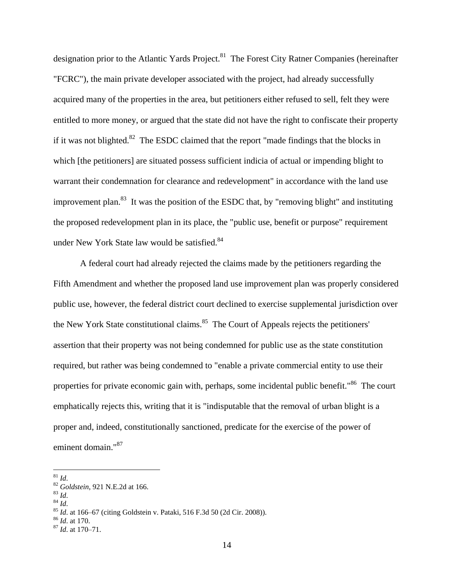designation prior to the Atlantic Yards Project.<sup>81</sup> The Forest City Ratner Companies (hereinafter "FCRC"), the main private developer associated with the project, had already successfully acquired many of the properties in the area, but petitioners either refused to sell, felt they were entitled to more money, or argued that the state did not have the right to confiscate their property if it was not blighted. $82$  The ESDC claimed that the report "made findings that the blocks in which [the petitioners] are situated possess sufficient indicia of actual or impending blight to warrant their condemnation for clearance and redevelopment" in accordance with the land use improvement plan.<sup>83</sup> It was the position of the ESDC that, by "removing blight" and instituting the proposed redevelopment plan in its place, the "public use, benefit or purpose" requirement under New York State law would be satisfied.<sup>84</sup>

A federal court had already rejected the claims made by the petitioners regarding the Fifth Amendment and whether the proposed land use improvement plan was properly considered public use, however, the federal district court declined to exercise supplemental jurisdiction over the New York State constitutional claims.<sup>85</sup> The Court of Appeals rejects the petitioners' assertion that their property was not being condemned for public use as the state constitution required, but rather was being condemned to "enable a private commercial entity to use their properties for private economic gain with, perhaps, some incidental public benefit."<sup>86</sup> The court emphatically rejects this, writing that it is "indisputable that the removal of urban blight is a proper and, indeed, constitutionally sanctioned, predicate for the exercise of the power of eminent domain."<sup>87</sup>

 $\overline{a}$ 

<sup>83</sup> *Id*.

<sup>81</sup> *Id*.

<sup>82</sup> *Goldstein*, 921 N.E.2d at 166.

<sup>84</sup> *Id*.

<sup>85</sup> *Id*. at 166–67 (citing Goldstein v. Pataki, 516 F.3d 50 (2d Cir. 2008)).

<sup>86</sup> *Id*. at 170.

<sup>87</sup> *Id*. at 170–71.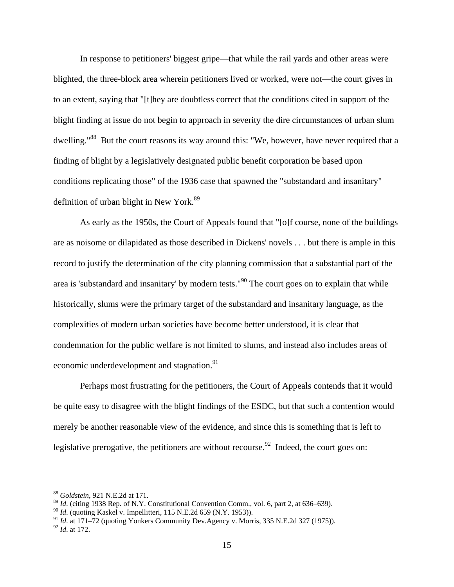In response to petitioners' biggest gripe—that while the rail yards and other areas were blighted, the three-block area wherein petitioners lived or worked, were not—the court gives in to an extent, saying that "[t]hey are doubtless correct that the conditions cited in support of the blight finding at issue do not begin to approach in severity the dire circumstances of urban slum dwelling."<sup>88</sup> But the court reasons its way around this: "We, however, have never required that a finding of blight by a legislatively designated public benefit corporation be based upon conditions replicating those" of the 1936 case that spawned the "substandard and insanitary" definition of urban blight in New York. $89$ 

As early as the 1950s, the Court of Appeals found that "[o]f course, none of the buildings are as noisome or dilapidated as those described in Dickens' novels . . . but there is ample in this record to justify the determination of the city planning commission that a substantial part of the area is 'substandard and insanitary' by modern tests."<sup>90</sup> The court goes on to explain that while historically, slums were the primary target of the substandard and insanitary language, as the complexities of modern urban societies have become better understood, it is clear that condemnation for the public welfare is not limited to slums, and instead also includes areas of economic underdevelopment and stagnation.<sup>91</sup>

Perhaps most frustrating for the petitioners, the Court of Appeals contends that it would be quite easy to disagree with the blight findings of the ESDC, but that such a contention would merely be another reasonable view of the evidence, and since this is something that is left to legislative prerogative, the petitioners are without recourse.<sup>92</sup> Indeed, the court goes on:

<sup>88</sup> *Goldstein*, 921 N.E.2d at 171.

<sup>&</sup>lt;sup>89</sup> *Id.* (citing 1938 Rep. of N.Y. Constitutional Convention Comm., vol. 6, part 2, at 636–639).

<sup>&</sup>lt;sup>90</sup> *Id.* (quoting Kaskel v. Impellitteri, 115 N.E.2d 659 (N.Y. 1953)).

<sup>&</sup>lt;sup>91</sup> *Id.* at 171–72 (quoting Yonkers Community Dev.Agency v. Morris, 335 N.E.2d 327 (1975)).

<sup>92</sup> *Id*. at 172.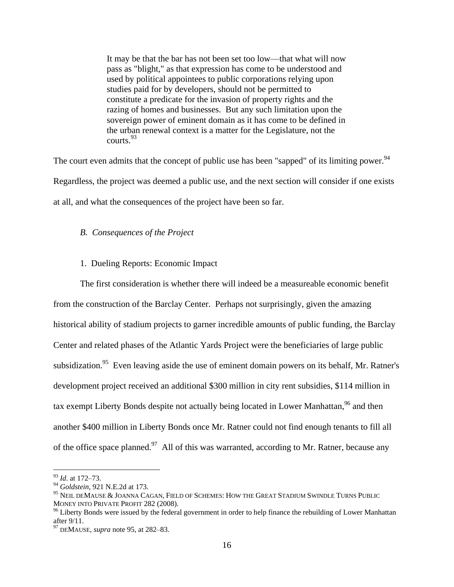It may be that the bar has not been set too low—that what will now pass as "blight," as that expression has come to be understood and used by political appointees to public corporations relying upon studies paid for by developers, should not be permitted to constitute a predicate for the invasion of property rights and the razing of homes and businesses. But any such limitation upon the sovereign power of eminent domain as it has come to be defined in the urban renewal context is a matter for the Legislature, not the courts.<sup>93</sup>

The court even admits that the concept of public use has been "sapped" of its limiting power.  $94$ Regardless, the project was deemed a public use, and the next section will consider if one exists at all, and what the consequences of the project have been so far.

#### *B. Consequences of the Project*

#### 1. Dueling Reports: Economic Impact

<span id="page-16-0"></span>The first consideration is whether there will indeed be a measureable economic benefit from the construction of the Barclay Center. Perhaps not surprisingly, given the amazing historical ability of stadium projects to garner incredible amounts of public funding, the Barclay Center and related phases of the Atlantic Yards Project were the beneficiaries of large public subsidization.<sup>95</sup> Even leaving aside the use of eminent domain powers on its behalf, Mr. Ratner's development project received an additional \$300 million in city rent subsidies, \$114 million in tax exempt Liberty Bonds despite not actually being located in Lower Manhattan,  $96$  and then another \$400 million in Liberty Bonds once Mr. Ratner could not find enough tenants to fill all of the office space planned.<sup>97</sup> All of this was warranted, according to Mr. Ratner, because any

<sup>93</sup> *Id*. at 172–73.

<sup>94</sup> *Goldstein*, 921 N.E.2d at 173.

<sup>95</sup> NEIL DEMAUSE & JOANNA CAGAN, FIELD OF SCHEMES: HOW THE GREAT STADIUM SWINDLE TURNS PUBLIC MONEY INTO PRIVATE PROFIT 282 (2008).

<sup>&</sup>lt;sup>96</sup> Liberty Bonds were issued by the federal government in order to help finance the rebuilding of Lower Manhattan after 9/11.

<sup>97</sup> DEMAUSE, *supra* not[e 95,](#page-16-0) at 282–83.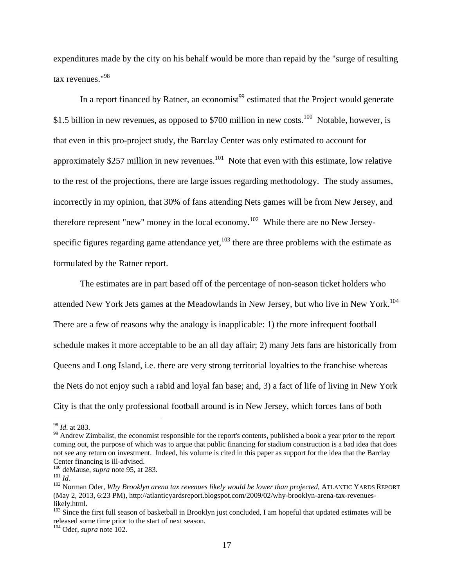expenditures made by the city on his behalf would be more than repaid by the "surge of resulting tax revenues."<sup>98</sup>

In a report financed by Ratner, an economist<sup>99</sup> estimated that the Project would generate \$1.5 billion in new revenues, as opposed to \$700 million in new costs.<sup>100</sup> Notable, however, is that even in this pro-project study, the Barclay Center was only estimated to account for approximately \$257 million in new revenues.<sup>101</sup> Note that even with this estimate, low relative to the rest of the projections, there are large issues regarding methodology. The study assumes, incorrectly in my opinion, that 30% of fans attending Nets games will be from New Jersey, and therefore represent "new" money in the local economy.<sup>102</sup> While there are no New Jerseyspecific figures regarding game attendance yet, $103$  there are three problems with the estimate as formulated by the Ratner report.

<span id="page-17-0"></span>The estimates are in part based off of the percentage of non-season ticket holders who attended New York Jets games at the Meadowlands in New Jersey, but who live in New York.<sup>104</sup> There are a few of reasons why the analogy is inapplicable: 1) the more infrequent football schedule makes it more acceptable to be an all day affair; 2) many Jets fans are historically from Queens and Long Island, i.e. there are very strong territorial loyalties to the franchise whereas the Nets do not enjoy such a rabid and loyal fan base; and, 3) a fact of life of living in New York City is that the only professional football around is in New Jersey, which forces fans of both

<sup>98</sup> *Id*. at 283.

<sup>&</sup>lt;sup>99</sup> Andrew Zimbalist, the economist responsible for the report's contents, published a book a year prior to the report coming out, the purpose of which was to argue that public financing for stadium construction is a bad idea that does not see any return on investment. Indeed, his volume is cited in this paper as support for the idea that the Barclay Center financing is ill-advised.

<sup>100</sup> deMause, *supra* note [95,](#page-16-0) at 283.

 $101 \overline{Id}$ .

<sup>102</sup> Norman Oder, *Why Brooklyn arena tax revenues likely would be lower than projected*, ATLANTIC YARDS REPORT (May 2, 2013, 6:23 PM), http://atlanticyardsreport.blogspot.com/2009/02/why-brooklyn-arena-tax-revenueslikely.html.

 $103$  Since the first full season of basketball in Brooklyn just concluded, I am hopeful that updated estimates will be released some time prior to the start of next season.

<sup>104</sup> Oder, *supra* note [102.](#page-17-0)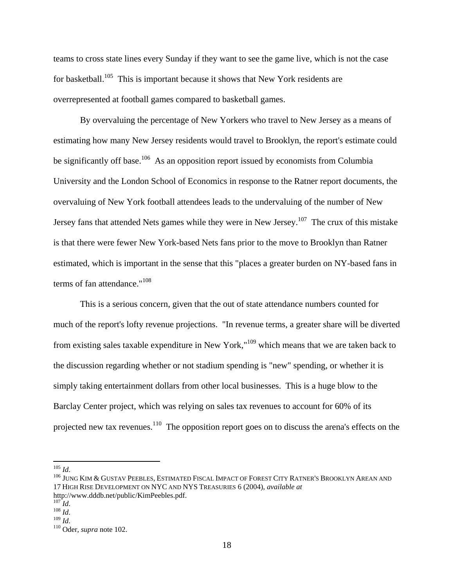teams to cross state lines every Sunday if they want to see the game live, which is not the case for basketball.<sup>105</sup> This is important because it shows that New York residents are overrepresented at football games compared to basketball games.

By overvaluing the percentage of New Yorkers who travel to New Jersey as a means of estimating how many New Jersey residents would travel to Brooklyn, the report's estimate could be significantly off base.<sup>106</sup> As an opposition report issued by economists from Columbia University and the London School of Economics in response to the Ratner report documents, the overvaluing of New York football attendees leads to the undervaluing of the number of New Jersey fans that attended Nets games while they were in New Jersey.<sup>107</sup> The crux of this mistake is that there were fewer New York-based Nets fans prior to the move to Brooklyn than Ratner estimated, which is important in the sense that this "places a greater burden on NY-based fans in terms of fan attendance."<sup>108</sup>

This is a serious concern, given that the out of state attendance numbers counted for much of the report's lofty revenue projections. "In revenue terms, a greater share will be diverted from existing sales taxable expenditure in New York,"<sup>109</sup> which means that we are taken back to the discussion regarding whether or not stadium spending is "new" spending, or whether it is simply taking entertainment dollars from other local businesses. This is a huge blow to the Barclay Center project, which was relying on sales tax revenues to account for 60% of its projected new tax revenues.<sup>110</sup> The opposition report goes on to discuss the arena's effects on the

<sup>105</sup> *Id*.

<sup>106</sup> JUNG KIM & GUSTAV PEEBLES, ESTIMATED FISCAL IMPACT OF FOREST CITY RATNER'S BROOKLYN AREAN AND 17 HIGH RISE DEVELOPMENT ON NYC AND NYS TREASURIES 6 (2004), *available at* http://www.dddb.net/public/KimPeebles.pdf.

 $^{107}$ *Id.* 

<sup>108</sup> *Id*.

<sup>109</sup> *Id*.

<sup>110</sup> Oder, *supra* note [102.](#page-17-0)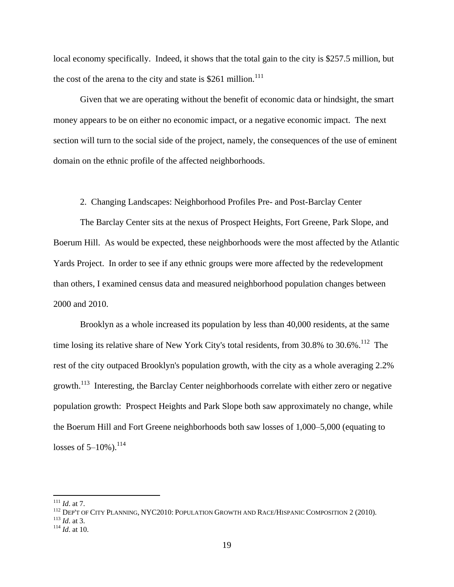local economy specifically. Indeed, it shows that the total gain to the city is \$257.5 million, but the cost of the arena to the city and state is  $$261$  million.<sup>111</sup>

Given that we are operating without the benefit of economic data or hindsight, the smart money appears to be on either no economic impact, or a negative economic impact. The next section will turn to the social side of the project, namely, the consequences of the use of eminent domain on the ethnic profile of the affected neighborhoods.

2. Changing Landscapes: Neighborhood Profiles Pre- and Post-Barclay Center

The Barclay Center sits at the nexus of Prospect Heights, Fort Greene, Park Slope, and Boerum Hill. As would be expected, these neighborhoods were the most affected by the Atlantic Yards Project. In order to see if any ethnic groups were more affected by the redevelopment than others, I examined census data and measured neighborhood population changes between 2000 and 2010.

<span id="page-19-0"></span>Brooklyn as a whole increased its population by less than 40,000 residents, at the same time losing its relative share of New York City's total residents, from  $30.8\%$  to  $30.6\%$ .<sup>112</sup> The rest of the city outpaced Brooklyn's population growth, with the city as a whole averaging 2.2% growth.<sup>113</sup> Interesting, the Barclay Center neighborhoods correlate with either zero or negative population growth: Prospect Heights and Park Slope both saw approximately no change, while the Boerum Hill and Fort Greene neighborhoods both saw losses of 1,000–5,000 (equating to losses of  $5-10\%$ ).<sup>114</sup>

<sup>111</sup> *Id*. at 7.

<sup>112</sup> DEP'T OF CITY PLANNING, NYC2010: POPULATION GROWTH AND RACE/HISPANIC COMPOSITION 2 (2010).

<sup>113</sup> *Id*. at 3.

<sup>114</sup> *Id*. at 10.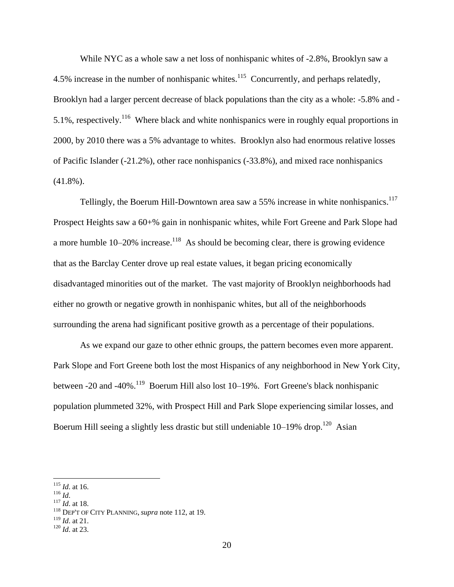While NYC as a whole saw a net loss of nonhispanic whites of -2.8%, Brooklyn saw a 4.5% increase in the number of nonhispanic whites.<sup>115</sup> Concurrently, and perhaps relatedly, Brooklyn had a larger percent decrease of black populations than the city as a whole: -5.8% and - 5.1%, respectively.<sup>116</sup> Where black and white nonhispanics were in roughly equal proportions in 2000, by 2010 there was a 5% advantage to whites. Brooklyn also had enormous relative losses of Pacific Islander (-21.2%), other race nonhispanics (-33.8%), and mixed race nonhispanics (41.8%).

Tellingly, the Boerum Hill-Downtown area saw a 55% increase in white nonhispanics.<sup>117</sup> Prospect Heights saw a 60+% gain in nonhispanic whites, while Fort Greene and Park Slope had a more humble  $10-20\%$  increase.<sup>118</sup> As should be becoming clear, there is growing evidence that as the Barclay Center drove up real estate values, it began pricing economically disadvantaged minorities out of the market. The vast majority of Brooklyn neighborhoods had either no growth or negative growth in nonhispanic whites, but all of the neighborhoods surrounding the arena had significant positive growth as a percentage of their populations.

As we expand our gaze to other ethnic groups, the pattern becomes even more apparent. Park Slope and Fort Greene both lost the most Hispanics of any neighborhood in New York City, between -20 and -40%.<sup>119</sup> Boerum Hill also lost  $10-19%$ . Fort Greene's black nonhispanic population plummeted 32%, with Prospect Hill and Park Slope experiencing similar losses, and Boerum Hill seeing a slightly less drastic but still undeniable  $10-19\%$  drop.<sup>120</sup> Asian

<sup>116</sup> *Id*.

 $\overline{a}$ 

<sup>117</sup> *Id*. at 18.

<sup>119</sup> *Id*. at 21.

<sup>115</sup> *Id*. at 16.

<sup>118</sup> DEP'T OF CITY PLANNING, *supra* note [112,](#page-19-0) at 19.

<sup>120</sup> *Id*. at 23.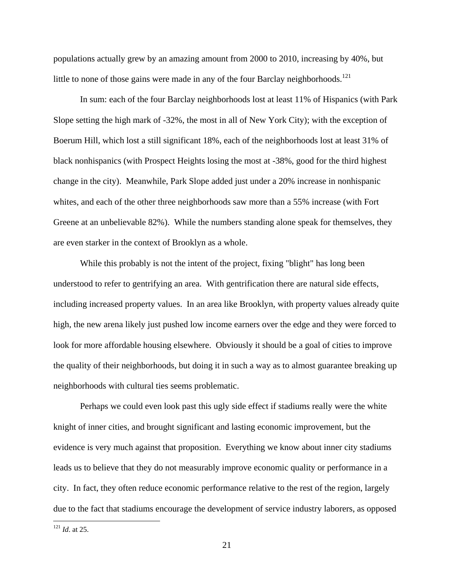populations actually grew by an amazing amount from 2000 to 2010, increasing by 40%, but little to none of those gains were made in any of the four Barclay neighborhoods.<sup>121</sup>

In sum: each of the four Barclay neighborhoods lost at least 11% of Hispanics (with Park Slope setting the high mark of -32%, the most in all of New York City); with the exception of Boerum Hill, which lost a still significant 18%, each of the neighborhoods lost at least 31% of black nonhispanics (with Prospect Heights losing the most at -38%, good for the third highest change in the city). Meanwhile, Park Slope added just under a 20% increase in nonhispanic whites, and each of the other three neighborhoods saw more than a 55% increase (with Fort Greene at an unbelievable 82%). While the numbers standing alone speak for themselves, they are even starker in the context of Brooklyn as a whole.

While this probably is not the intent of the project, fixing "blight" has long been understood to refer to gentrifying an area. With gentrification there are natural side effects, including increased property values. In an area like Brooklyn, with property values already quite high, the new arena likely just pushed low income earners over the edge and they were forced to look for more affordable housing elsewhere. Obviously it should be a goal of cities to improve the quality of their neighborhoods, but doing it in such a way as to almost guarantee breaking up neighborhoods with cultural ties seems problematic.

Perhaps we could even look past this ugly side effect if stadiums really were the white knight of inner cities, and brought significant and lasting economic improvement, but the evidence is very much against that proposition. Everything we know about inner city stadiums leads us to believe that they do not measurably improve economic quality or performance in a city. In fact, they often reduce economic performance relative to the rest of the region, largely due to the fact that stadiums encourage the development of service industry laborers, as opposed

<sup>121</sup> *Id*. at 25.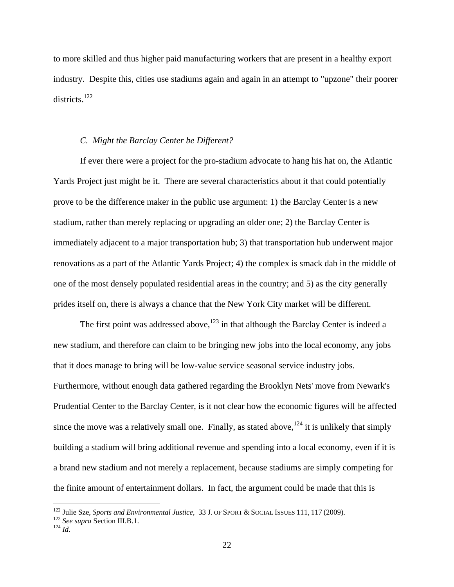to more skilled and thus higher paid manufacturing workers that are present in a healthy export industry. Despite this, cities use stadiums again and again in an attempt to "upzone" their poorer districts.<sup>122</sup>

## *C. Might the Barclay Center be Different?*

If ever there were a project for the pro-stadium advocate to hang his hat on, the Atlantic Yards Project just might be it. There are several characteristics about it that could potentially prove to be the difference maker in the public use argument: 1) the Barclay Center is a new stadium, rather than merely replacing or upgrading an older one; 2) the Barclay Center is immediately adjacent to a major transportation hub; 3) that transportation hub underwent major renovations as a part of the Atlantic Yards Project; 4) the complex is smack dab in the middle of one of the most densely populated residential areas in the country; and 5) as the city generally prides itself on, there is always a chance that the New York City market will be different.

The first point was addressed above,  $123$  in that although the Barclay Center is indeed a new stadium, and therefore can claim to be bringing new jobs into the local economy, any jobs that it does manage to bring will be low-value service seasonal service industry jobs. Furthermore, without enough data gathered regarding the Brooklyn Nets' move from Newark's Prudential Center to the Barclay Center, is it not clear how the economic figures will be affected since the move was a relatively small one. Finally, as stated above,  $124$  it is unlikely that simply building a stadium will bring additional revenue and spending into a local economy, even if it is a brand new stadium and not merely a replacement, because stadiums are simply competing for the finite amount of entertainment dollars. In fact, the argument could be made that this is

<sup>122</sup> Julie Sze, *Sports and Environmental Justice*, 33 J. OF SPORT & SOCIAL ISSUES 111, 117 (2009).

<sup>123</sup> *See supra* Section III.B.1.

 $^{124}$   $^{124}$   $^{124}$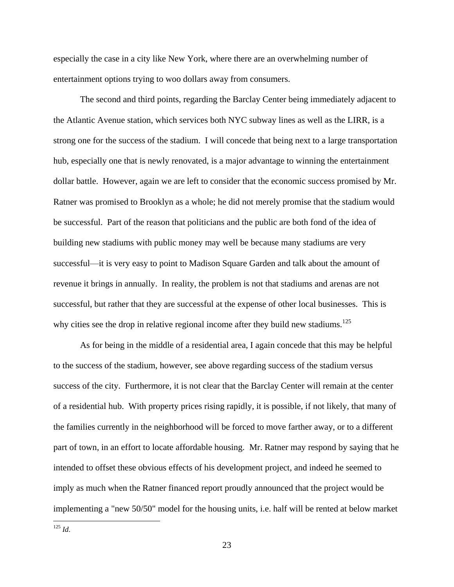especially the case in a city like New York, where there are an overwhelming number of entertainment options trying to woo dollars away from consumers.

The second and third points, regarding the Barclay Center being immediately adjacent to the Atlantic Avenue station, which services both NYC subway lines as well as the LIRR, is a strong one for the success of the stadium. I will concede that being next to a large transportation hub, especially one that is newly renovated, is a major advantage to winning the entertainment dollar battle. However, again we are left to consider that the economic success promised by Mr. Ratner was promised to Brooklyn as a whole; he did not merely promise that the stadium would be successful. Part of the reason that politicians and the public are both fond of the idea of building new stadiums with public money may well be because many stadiums are very successful—it is very easy to point to Madison Square Garden and talk about the amount of revenue it brings in annually. In reality, the problem is not that stadiums and arenas are not successful, but rather that they are successful at the expense of other local businesses. This is why cities see the drop in relative regional income after they build new stadiums.<sup>125</sup>

As for being in the middle of a residential area, I again concede that this may be helpful to the success of the stadium, however, see above regarding success of the stadium versus success of the city. Furthermore, it is not clear that the Barclay Center will remain at the center of a residential hub. With property prices rising rapidly, it is possible, if not likely, that many of the families currently in the neighborhood will be forced to move farther away, or to a different part of town, in an effort to locate affordable housing. Mr. Ratner may respond by saying that he intended to offset these obvious effects of his development project, and indeed he seemed to imply as much when the Ratner financed report proudly announced that the project would be implementing a "new 50/50" model for the housing units, i.e. half will be rented at below market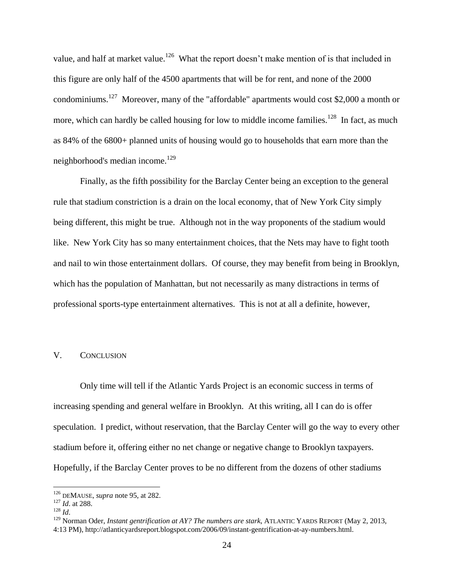value, and half at market value.<sup>126</sup> What the report doesn't make mention of is that included in this figure are only half of the 4500 apartments that will be for rent, and none of the 2000 condominiums.<sup>127</sup> Moreover, many of the "affordable" apartments would cost \$2,000 a month or more, which can hardly be called housing for low to middle income families.<sup>128</sup> In fact, as much as 84% of the 6800+ planned units of housing would go to households that earn more than the neighborhood's median income.<sup>129</sup>

Finally, as the fifth possibility for the Barclay Center being an exception to the general rule that stadium constriction is a drain on the local economy, that of New York City simply being different, this might be true. Although not in the way proponents of the stadium would like. New York City has so many entertainment choices, that the Nets may have to fight tooth and nail to win those entertainment dollars. Of course, they may benefit from being in Brooklyn, which has the population of Manhattan, but not necessarily as many distractions in terms of professional sports-type entertainment alternatives. This is not at all a definite, however,

## V. CONCLUSION

Only time will tell if the Atlantic Yards Project is an economic success in terms of increasing spending and general welfare in Brooklyn. At this writing, all I can do is offer speculation. I predict, without reservation, that the Barclay Center will go the way to every other stadium before it, offering either no net change or negative change to Brooklyn taxpayers. Hopefully, if the Barclay Center proves to be no different from the dozens of other stadiums

<sup>126</sup> DEMAUSE, *supra* not[e 95,](#page-16-0) at 282.

<sup>127</sup> *Id*. at 288.

<sup>128</sup> *Id*.

<sup>129</sup> Norman Oder, *Instant gentrification at AY? The numbers are stark*, ATLANTIC YARDS REPORT (May 2, 2013, 4:13 PM), http://atlanticyardsreport.blogspot.com/2006/09/instant-gentrification-at-ay-numbers.html.